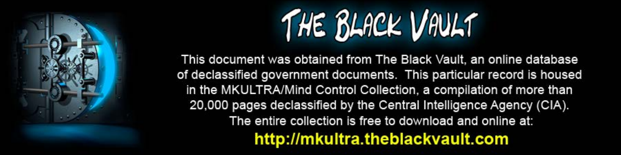

This document was obtained from The Black Vault, an online database of declassified government documents. This particular record is housed in the MKULTRA/Mind Control Collection, a compilation of more than 20,000 pages declassified by the Central Intelligence Agency (CIA). The entire collection is free to download and online at: http://mkultra.theblackvault.com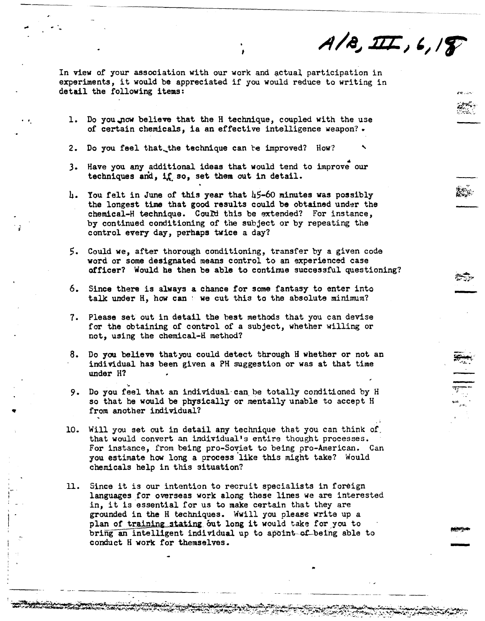$A/B, III, 6, 18$ 

··--------····-·---.. ··-

া<br>|<br>|

 $\sim$   $\sim$ 

—<br>मृ

-

In view of your association with our work and actual participation in experiments, it would be appreciated if you would reduce to writing in detail the following items:

---------------------------~-----··---~--·-·--

t

...

•

- l. Do you.\_now believe that the H technique, coupled with the use of certain chemicals, ia an effective intelligence weapon?.
- 2. Do you feel that the technique can be improved? How?
- 3. Have you any additional ideas that would tend to improve our techniques and, if so, set them out in detail.
- $h$ . You felt in June of this year that  $h$ 5-60 minutes was possibly the longest time that good results could be obtained under the chemical-H technique. Could this be extended? For instance, by continued conditioning of the subject or by repeating the control every day, perhaps twice a day?
- *5.* Could we, after thorough conditioning, transfer by a given code word or some designated means control to an experienced case officer? Would he then be able to continue successful questioning?
- 6. Since there is always a chance for some fantasy to enter into talk under H, how can : we cut this to the absolute minimum?
- *1.* Please set out in detail the best methods that you can devise for the obtaining of control of a subject, whether willing or not, using the chemical-H method?
- 8. Do yau believe that you could detect through H whether or not an individual has been given a PH suggestion or was at that time under H?
- 9. Do you feel that an individual can be totally conditioned by H so that he would be physically or mentally unable to accept H from another individual?
- 10. Will you set out in detail any technique that you can think of. that would convert an individual's entire thought processes. For instance, from being pro-Soviet to being pro-American. Can you estimate how long a process like this might take? Would chemicals help in this situation?
- 11. Since it is our intention to recruit specialists in foreign languages for overseas work along these lines we are interested in, it is essential for us to make certain that they are grounded in the H techniques. Wwill you please write up a plan of training stating out long it would take for you to bring an intelligent individual up to apoint of being able to conduct H work for themselves.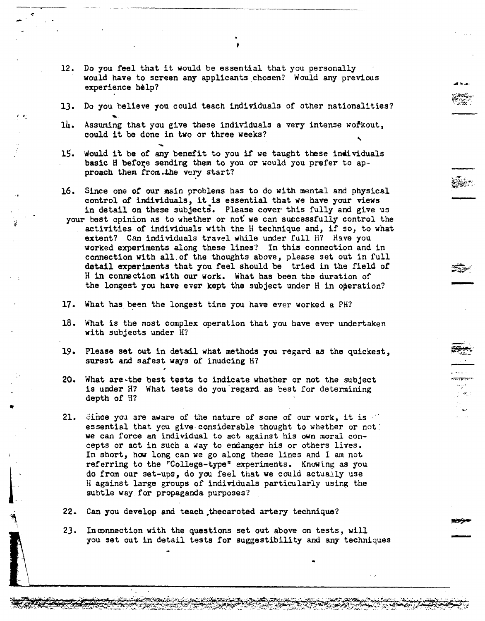12. Do you feel that it would be essential that you personally would have to screen any applicants\_chosen? Would any previous experience help?

-<br>-<br>-

 $\cdot$  :

 $\frac{1}{2}$ 

- 13. Do you believe you could teach individuals of other nationalities?
- l4. Assuming that you give these individuals a very intense workout, could it be done in two or three weeks?
- 15. Would it be of any benefit to you if we taught these individuals basic H before sending them to you or would you prefer to approach them from.the very start?
- 16. Since one of our main problems has to do with mental and physical control *ot* individuals, it is essential that we have your views in detail on these subjects. Please cover this fully and give us
- your best opinion as to whether or not we can sutcessfully control the activities of individuals with the H technique and, if so, to what extent? Can individuals travel while under full H? Have you worked experiments along these lines? In this connection and in connection with all.of the thoughts above, please set out in full detail experiments that you feel should be tried in the field of H in connection with our work. What has been the duration of the longest you have ever kept the subject under H in operation?
- 17. What has been the longest time you have ever worked a PH?
- 18. What is the most complex operation that you have ever undertaken with subjects under H?
- 19. Please set out in detail what methods you regard as the quickest, surest and safest ways of inudcing H?
- 20. What are~the best tests to indicate whether or not the subject is under H? What tests do you regard as best for determining depth of H?
- 21. Since you are aware of the nature of some of our work, it is essential that you give-considerable thought to whether or not: we can force an individual to act against his own moral concepts or act in such a way to endanger his or others lives. In short, how long can we go along these lines and I am not referring to the "College-type" experiments. Knowing as you do from our set-ups, do you feel that we could actually use H against large groups of individuals particularly using the subtle way. for propaganda purposes?
- 22. Can you develop and teach thecaroted artery technique?
- 23. Inoonnection with the questions set out above on tests, will you set out in detail tests for suggestibility and any techniques

..

t

.. ~ ......

العام<br>العام العام العام العام العام العام العام العام العام العام العام العام العام العام العام العام العام ال<br>العام العام العام العام العام العام العام العام العام العام العام العام العام العام العام العام العام العام ال

-